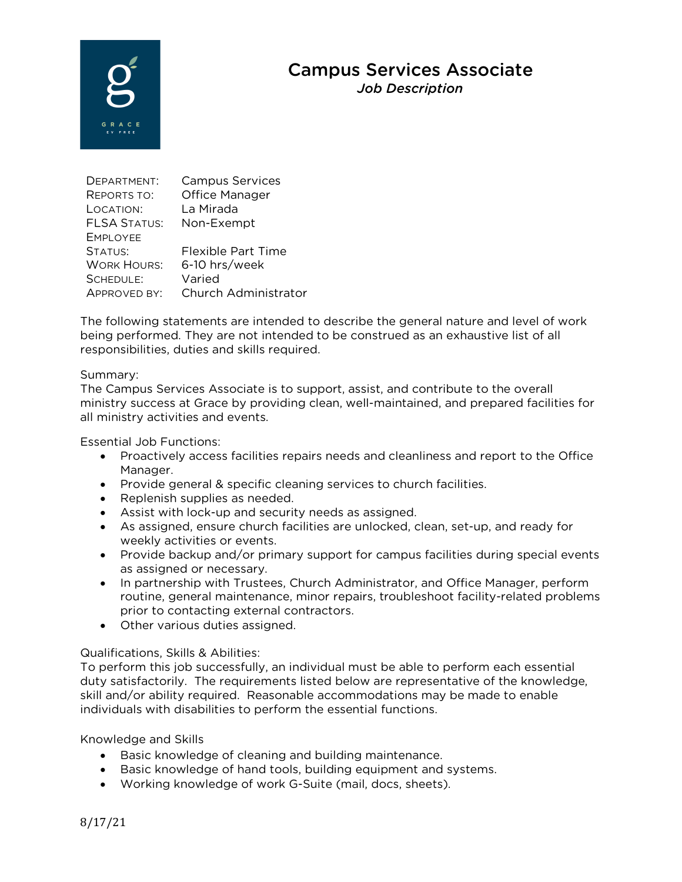# Campus Services Associate

*Job Description* 



| DEPARTMENT:         | <b>Campus Services</b>    |
|---------------------|---------------------------|
| <b>REPORTS TO:</b>  | Office Manager            |
| LOCATION:           | La Mirada                 |
| <b>FLSA STATUS:</b> | Non-Exempt                |
| <b>EMPLOYEE</b>     |                           |
| STATUS:             | <b>Flexible Part Time</b> |
| <b>WORK HOURS:</b>  | 6-10 hrs/week             |
| SCHEDULE:           | Varied                    |
| APPROVED BY:        | Church Administrator      |

The following statements are intended to describe the general nature and level of work being performed. They are not intended to be construed as an exhaustive list of all responsibilities, duties and skills required.

## Summary:

The Campus Services Associate is to support, assist, and contribute to the overall ministry success at Grace by providing clean, well-maintained, and prepared facilities for all ministry activities and events.

Essential Job Functions:

- Proactively access facilities repairs needs and cleanliness and report to the Office Manager.
- Provide general & specific cleaning services to church facilities.
- Replenish supplies as needed.
- Assist with lock-up and security needs as assigned.
- As assigned, ensure church facilities are unlocked, clean, set-up, and ready for weekly activities or events.
- Provide backup and/or primary support for campus facilities during special events as assigned or necessary.
- In partnership with Trustees, Church Administrator, and Office Manager, perform routine, general maintenance, minor repairs, troubleshoot facility-related problems prior to contacting external contractors.
- Other various duties assigned.

# Qualifications, Skills & Abilities:

To perform this job successfully, an individual must be able to perform each essential duty satisfactorily. The requirements listed below are representative of the knowledge, skill and/or ability required. Reasonable accommodations may be made to enable individuals with disabilities to perform the essential functions.

Knowledge and Skills

- Basic knowledge of cleaning and building maintenance.
- Basic knowledge of hand tools, building equipment and systems.
- Working knowledge of work G-Suite (mail, docs, sheets).